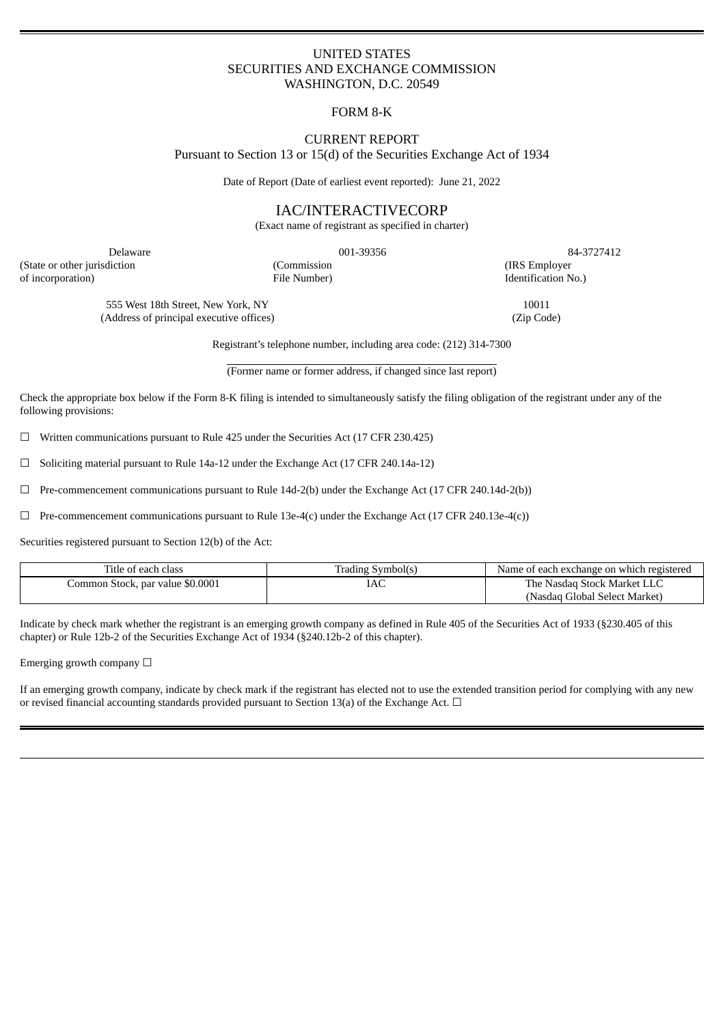# UNITED STATES SECURITIES AND EXCHANGE COMMISSION WASHINGTON, D.C. 20549

# FORM 8-K

## CURRENT REPORT Pursuant to Section 13 or 15(d) of the Securities Exchange Act of 1934

Date of Report (Date of earliest event reported): June 21, 2022

# IAC/INTERACTIVECORP

(Exact name of registrant as specified in charter)

(State or other jurisdiction (Commission (IRS Employer of incorporation) File Number) Identification No.)

Delaware 001-39356 84-3727412

555 West 18th Street, New York, NY 10011 (Address of principal executive offices) (Zip Code)

Registrant's telephone number, including area code: (212) 314-7300

(Former name or former address, if changed since last report)

Check the appropriate box below if the Form 8-K filing is intended to simultaneously satisfy the filing obligation of the registrant under any of the following provisions:

 $\Box$  Written communications pursuant to Rule 425 under the Securities Act (17 CFR 230.425)

☐ Soliciting material pursuant to Rule 14a-12 under the Exchange Act (17 CFR 240.14a-12)

☐ Pre-commencement communications pursuant to Rule 14d-2(b) under the Exchange Act (17 CFR 240.14d-2(b))

 $\Box$  Pre-commencement communications pursuant to Rule 13e-4(c) under the Exchange Act (17 CFR 240.13e-4(c))

Securities registered pursuant to Section 12(b) of the Act:

| Title of each class              | Trading Symbol(s) | Name of each exchange on which registered |
|----------------------------------|-------------------|-------------------------------------------|
| Common Stock, par value \$0.0001 | IAC               | The Nasdag Stock Market LLC               |
|                                  |                   | (Nasdag Global Select Market)             |

Indicate by check mark whether the registrant is an emerging growth company as defined in Rule 405 of the Securities Act of 1933 (§230.405 of this chapter) or Rule 12b-2 of the Securities Exchange Act of 1934 (§240.12b-2 of this chapter).

Emerging growth company  $\Box$ 

If an emerging growth company, indicate by check mark if the registrant has elected not to use the extended transition period for complying with any new or revised financial accounting standards provided pursuant to Section 13(a) of the Exchange Act.  $\Box$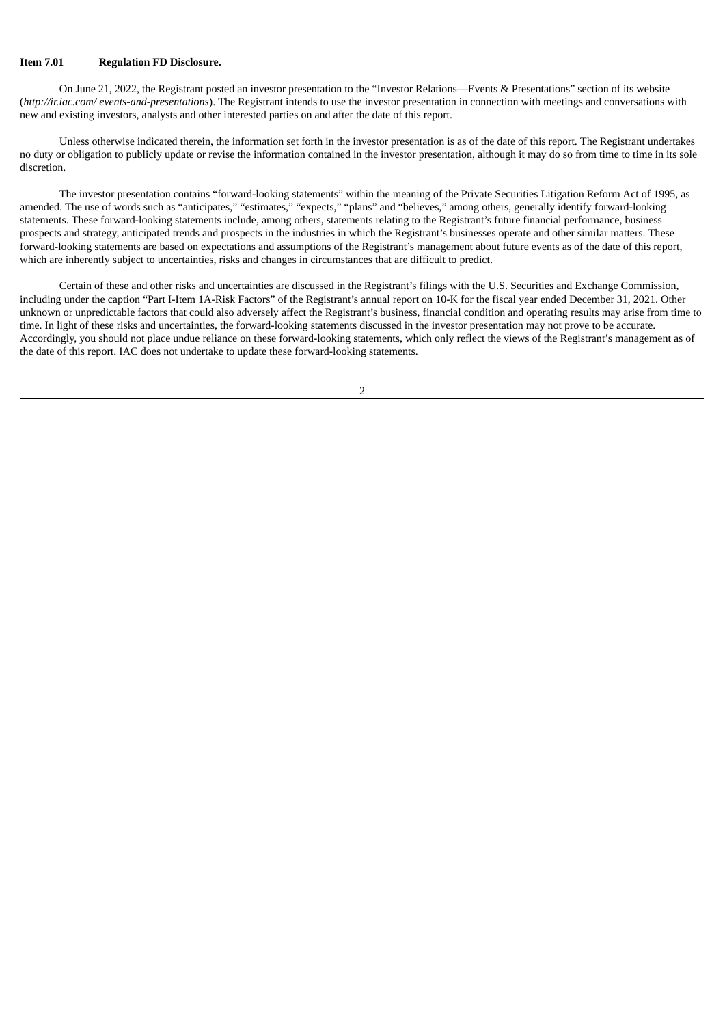#### **Item 7.01 Regulation FD Disclosure.**

On June 21, 2022, the Registrant posted an investor presentation to the "Investor Relations—Events & Presentations" section of its website (*http://ir.iac.com/ events-and-presentations*). The Registrant intends to use the investor presentation in connection with meetings and conversations with new and existing investors, analysts and other interested parties on and after the date of this report.

Unless otherwise indicated therein, the information set forth in the investor presentation is as of the date of this report. The Registrant undertakes no duty or obligation to publicly update or revise the information contained in the investor presentation, although it may do so from time to time in its sole discretion.

The investor presentation contains "forward-looking statements" within the meaning of the Private Securities Litigation Reform Act of 1995, as amended. The use of words such as "anticipates," "estimates," "expects," "plans" and "believes," among others, generally identify forward-looking statements. These forward-looking statements include, among others, statements relating to the Registrant's future financial performance, business prospects and strategy, anticipated trends and prospects in the industries in which the Registrant's businesses operate and other similar matters. These forward-looking statements are based on expectations and assumptions of the Registrant's management about future events as of the date of this report, which are inherently subject to uncertainties, risks and changes in circumstances that are difficult to predict.

Certain of these and other risks and uncertainties are discussed in the Registrant's filings with the U.S. Securities and Exchange Commission, including under the caption "Part I-Item 1A-Risk Factors" of the Registrant's annual report on 10-K for the fiscal year ended December 31, 2021. Other unknown or unpredictable factors that could also adversely affect the Registrant's business, financial condition and operating results may arise from time to time. In light of these risks and uncertainties, the forward-looking statements discussed in the investor presentation may not prove to be accurate. Accordingly, you should not place undue reliance on these forward-looking statements, which only reflect the views of the Registrant's management as of the date of this report. IAC does not undertake to update these forward-looking statements.

2